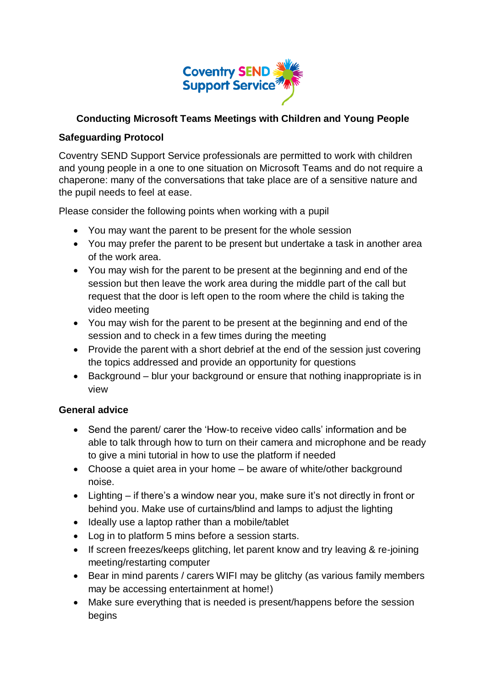

## **Conducting Microsoft Teams Meetings with Children and Young People**

## **Safeguarding Protocol**

Coventry SEND Support Service professionals are permitted to work with children and young people in a one to one situation on Microsoft Teams and do not require a chaperone: many of the conversations that take place are of a sensitive nature and the pupil needs to feel at ease.

Please consider the following points when working with a pupil

- You may want the parent to be present for the whole session
- You may prefer the parent to be present but undertake a task in another area of the work area.
- You may wish for the parent to be present at the beginning and end of the session but then leave the work area during the middle part of the call but request that the door is left open to the room where the child is taking the video meeting
- You may wish for the parent to be present at the beginning and end of the session and to check in a few times during the meeting
- Provide the parent with a short debrief at the end of the session just covering the topics addressed and provide an opportunity for questions
- Background blur your background or ensure that nothing inappropriate is in view

## **General advice**

- Send the parent/ carer the 'How-to receive video calls' information and be able to talk through how to turn on their camera and microphone and be ready to give a mini tutorial in how to use the platform if needed
- Choose a quiet area in your home be aware of white/other background noise.
- Lighting if there's a window near you, make sure it's not directly in front or behind you. Make use of curtains/blind and lamps to adjust the lighting
- Ideally use a laptop rather than a mobile/tablet
- Log in to platform 5 mins before a session starts.
- If screen freezes/keeps glitching, let parent know and try leaving & re-joining meeting/restarting computer
- Bear in mind parents / carers WIFI may be glitchy (as various family members may be accessing entertainment at home!)
- Make sure everything that is needed is present/happens before the session begins